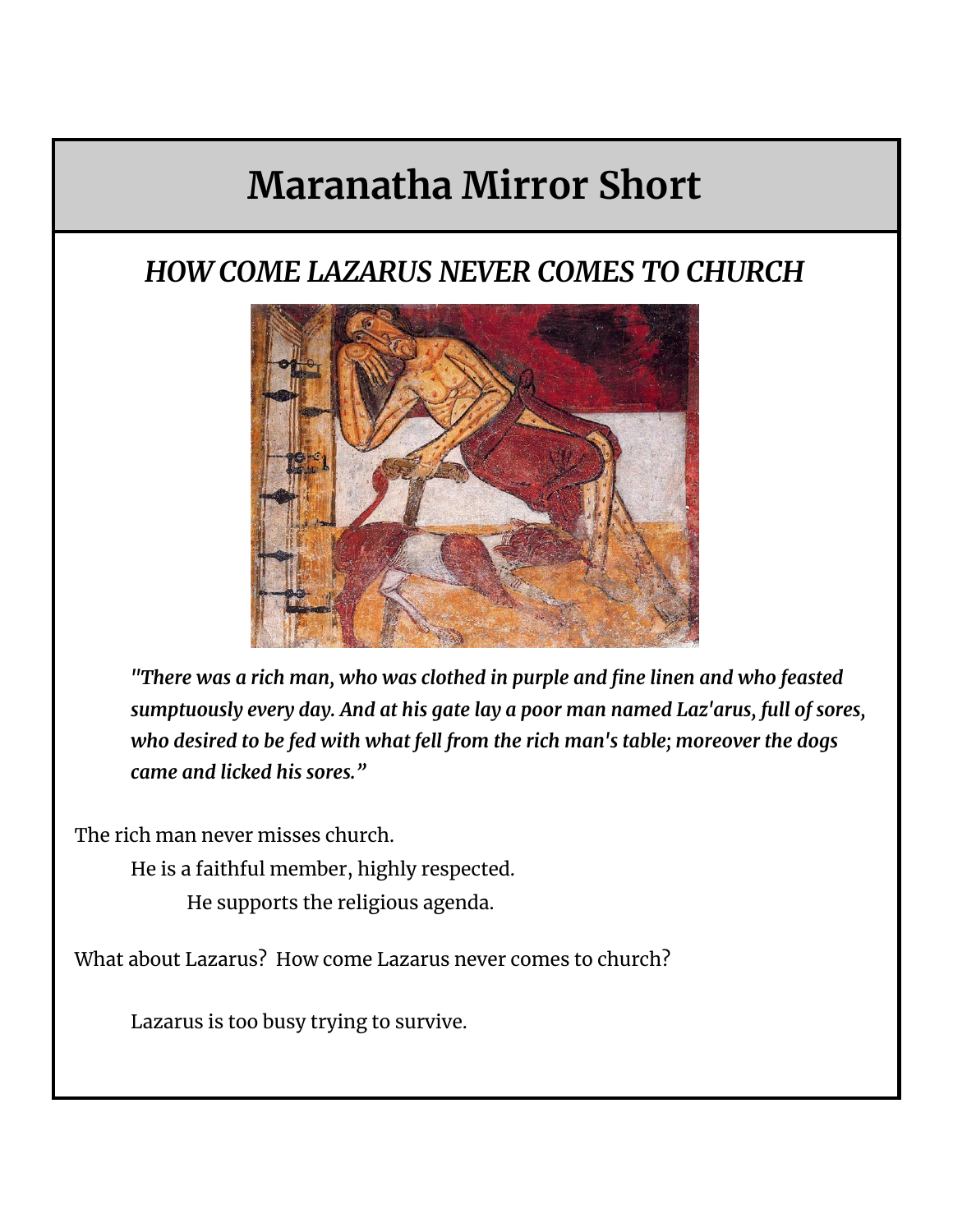## **Maranatha Mirror Short**

## *HOW COME LAZARUS NEVER COMES TO CHURCH*



*"There was a rich man, who was clothed in purple and fine linen and who feasted sumptuously every day. And at his gate lay a poor man named Laz'arus, full of sores, who desired to be fed with what fell from the rich man's table; moreover the dogs came and licked his sores."*

The rich man never misses church.

He is a faithful member, highly respected.

He supports the religious agenda.

What about Lazarus? How come Lazarus never comes to church?

Lazarus is too busy trying to survive.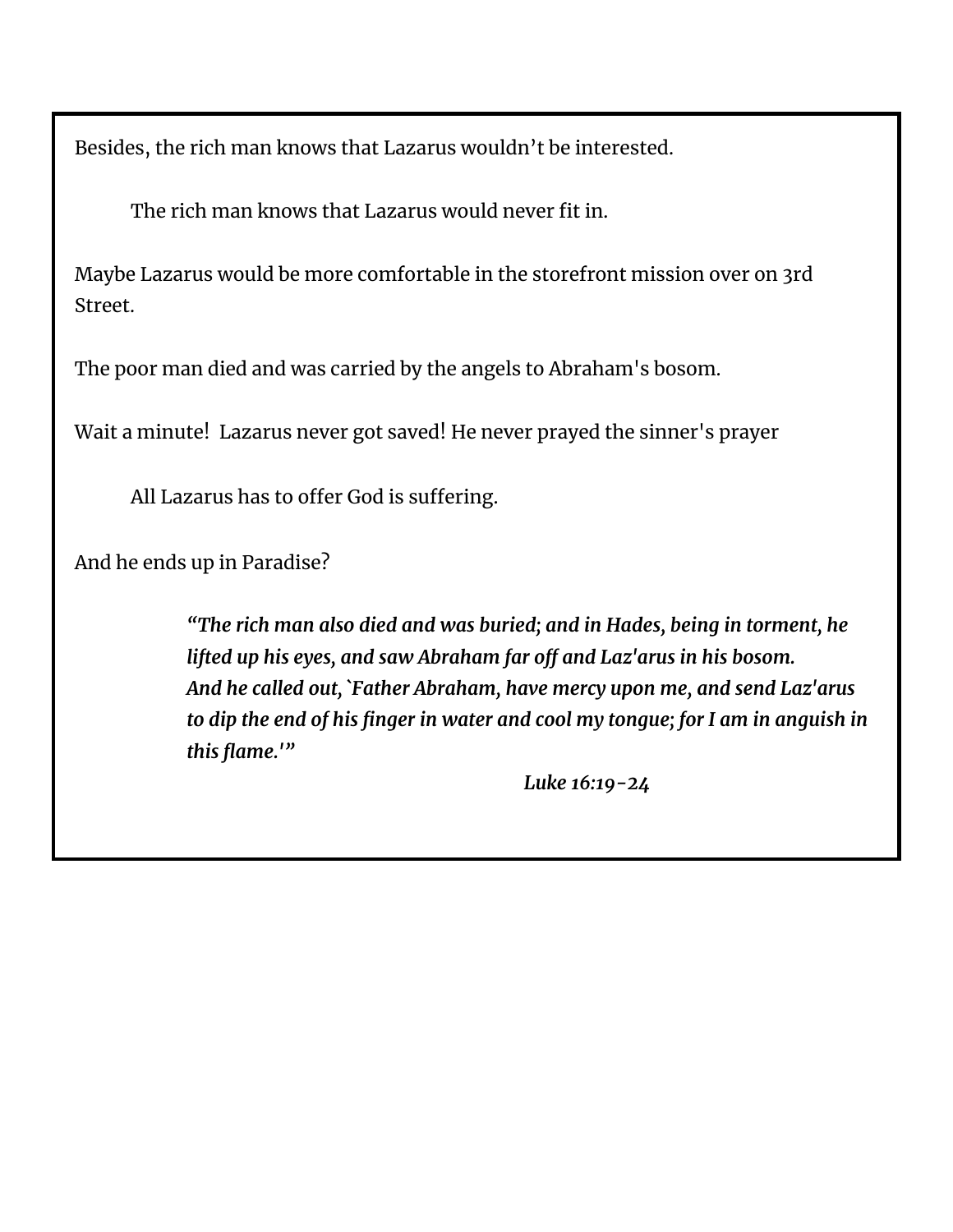Besides, the rich man knows that Lazarus wouldn't be interested.

The rich man knows that Lazarus would never fit in.

Maybe Lazarus would be more comfortable in the storefront mission over on 3rd Street.

The poor man died and was carried by the angels to Abraham's bosom.

Wait a minute! Lazarus never got saved! He never prayed the sinner's prayer

All Lazarus has to offer God is suffering.

And he ends up in Paradise?

*"The rich man also died and was buried; and in Hades, being in torment, he lifted up his eyes, and saw Abraham far off and Laz'arus in his bosom. And he called out, `Father Abraham, have mercy upon me, and send Laz'arus to dip the end of his finger in water and cool my tongue; for I am in anguish in this flame.'"*

*Luke 16:19-24*